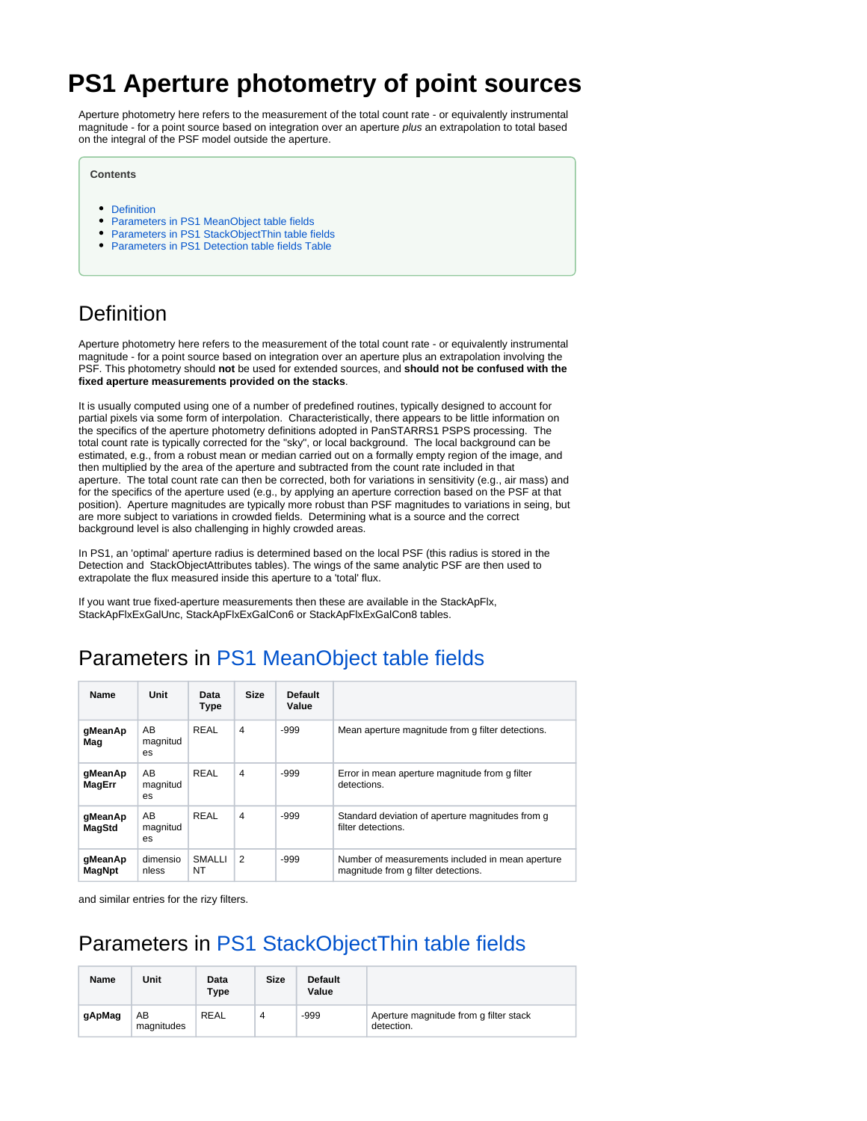# **PS1 Aperture photometry of point sources**

Aperture photometry here refers to the measurement of the total count rate - or equivalently instrumental magnitude - for a point source based on integration over an aperture plus an extrapolation to total based on the integral of the PSF model outside the aperture.

#### **Contents**

- [Definition](#page-0-0)
- [Parameters in PS1 MeanObject table fields](#page-0-1)
- [Parameters in PS1 StackObjectThin table fields](#page-0-2)
- [Parameters in PS1 Detection table fields Table](#page-1-0)

### <span id="page-0-0"></span>**Definition**

Aperture photometry here refers to the measurement of the total count rate - or equivalently instrumental magnitude - for a point source based on integration over an aperture plus an extrapolation involving the PSF. This photometry should **not** be used for extended sources, and **should not be confused with the fixed aperture measurements provided on the stacks**.

It is usually computed using one of a number of predefined routines, typically designed to account for partial pixels via some form of interpolation. Characteristically, there appears to be little information on the specifics of the aperture photometry definitions adopted in PanSTARRS1 PSPS processing. The total count rate is typically corrected for the "sky", or local background. The local background can be estimated, e.g., from a robust mean or median carried out on a formally empty region of the image, and then multiplied by the area of the aperture and subtracted from the count rate included in that aperture. The total count rate can then be corrected, both for variations in sensitivity (e.g., air mass) and for the specifics of the aperture used (e.g., by applying an aperture correction based on the PSF at that position). Aperture magnitudes are typically more robust than PSF magnitudes to variations in seing, but are more subject to variations in crowded fields. Determining what is a source and the correct background level is also challenging in highly crowded areas.

In PS1, an 'optimal' aperture radius is determined based on the local PSF (this radius is stored in the Detection and StackObjectAttributes tables). The wings of the same analytic PSF are then used to extrapolate the flux measured inside this aperture to a 'total' flux.

If you want true fixed-aperture measurements then these are available in the StackApFlx, StackApFlxExGalUnc, StackApFlxExGalCon6 or StackApFlxExGalCon8 tables.

### <span id="page-0-1"></span>Parameters in [PS1 MeanObject table fields](https://outerspace.stsci.edu/display/PANSTARRS/PS1+MeanObject+table+fields)

| <b>Name</b>       | Unit                  | Data<br><b>Type</b> | <b>Size</b>    | <b>Default</b><br>Value |                                                                                         |
|-------------------|-----------------------|---------------------|----------------|-------------------------|-----------------------------------------------------------------------------------------|
| gMeanAp<br>Mag    | AB<br>magnitud<br>es. | REAL                | $\overline{4}$ | -999                    | Mean aperture magnitude from g filter detections.                                       |
| gMeanAp<br>MagErr | AB<br>magnitud<br>es. | REAL                | $\overline{4}$ | -999                    | Error in mean aperture magnitude from g filter<br>detections.                           |
| gMeanAp<br>MagStd | AB<br>magnitud<br>es  | REAL                | 4              | -999                    | Standard deviation of aperture magnitudes from q<br>filter detections.                  |
| gMeanAp<br>MagNpt | dimensio<br>nless     | SMALLI<br>NT        | 2              | -999                    | Number of measurements included in mean aperture<br>magnitude from g filter detections. |

and similar entries for the rizy filters.

# <span id="page-0-2"></span>Parameters in [PS1 StackObjectThin table fields](https://outerspace.stsci.edu/display/PANSTARRS/PS1+StackObjectThin+table+fields)

| Name   | Unit             | Data<br>Type | <b>Size</b> | <b>Default</b><br>Value |                                                      |
|--------|------------------|--------------|-------------|-------------------------|------------------------------------------------------|
| gApMag | AB<br>magnitudes | <b>REAL</b>  | 4           | $-999$                  | Aperture magnitude from g filter stack<br>detection. |